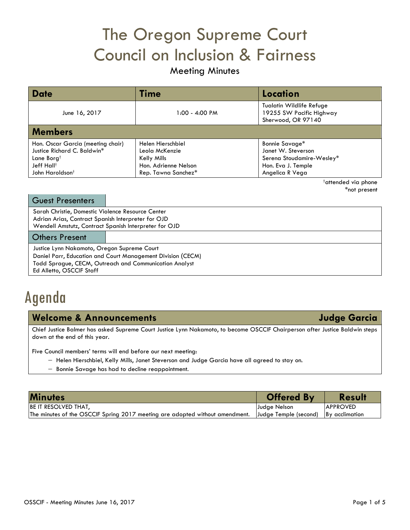# The Oregon Supreme Court Council on Inclusion & Fairness

## Meeting Minutes

| <b>Date</b>                       | Time                 | Location                                                                          |
|-----------------------------------|----------------------|-----------------------------------------------------------------------------------|
| June 16, 2017                     | 1:00 - 4:00 PM       | <b>Tualatin Wildlife Refuge</b><br>19255 SW Pacific Highway<br>Sherwood, OR 97140 |
| <b>Members</b>                    |                      |                                                                                   |
| Hon. Oscar Garcia (meeting chair) | Helen Hierschbiel    | Bonnie Savage*                                                                    |
| Justice Richard C. Baldwin*       | Leola McKenzie       | Janet W. Steverson                                                                |
| Lane Borg <sup>†</sup>            | Kelly Mills          | Serena Stoudamire-Wesley*                                                         |
| Jeff Hall†                        | Hon. Adrienne Nelson | Hon. Eva J. Temple                                                                |
| John Haroldson <sup>†</sup>       | Rep. Tawna Sanchez*  | Angelica R Vega                                                                   |

†attended via phone \*not present

| <b>Guest Presenters</b>                                                                                                                                                                          |  |  |
|--------------------------------------------------------------------------------------------------------------------------------------------------------------------------------------------------|--|--|
| Sarah Christie, Domestic Violence Resource Center<br>Adrian Arias, Contract Spanish Interpreter for OJD<br>Wendell Amstutz, Contract Spanish Interpreter for OJD                                 |  |  |
| <b>Others Present</b>                                                                                                                                                                            |  |  |
| Justice Lynn Nakamoto, Oregon Supreme Court<br>Daniel Parr, Education and Court Management Division (CECM)<br>Todd Sprague, CECM, Outreach and Communication Analyst<br>Ed Alletto, OSCCIF Staff |  |  |

## Agenda

### **Welcome & Announcements Judge Garcia**

Chief Justice Balmer has asked Supreme Court Justice Lynn Nakamoto, to become OSCCIF Chairperson after Justice Baldwin steps down at the end of this year.

Five Council members' terms will end before our next meeting:

- − Helen Hierschbiel, Kelly Mills, Janet Steverson and Judge Garcia have all agreed to stay on.
- − Bonnie Savage has had to decline reappointment.

| <b>Minutes</b>                                                               | <b>Offered By</b>     | <b>Result</b>   |
|------------------------------------------------------------------------------|-----------------------|-----------------|
| BE IT RESOLVED THAT,                                                         | Judge Nelson          | <b>APPROVED</b> |
| The minutes of the OSCCIF Spring 2017 meeting are adopted without amendment. | Judge Temple (second) | By acclimation  |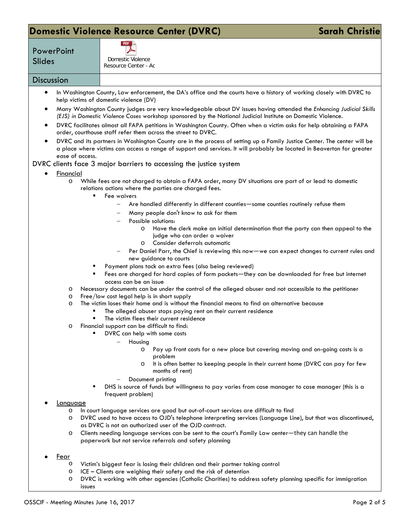### **Domestic Violence Resource Center (DVRC) Sarah Christie** Sarah Christie



Slides Domestic Violence Resource Center - Ac

#### **Discussion**

**PowerPoint** 

- In Washington County, Law enforcement, the DA's office and the courts have a history of working closely with DVRC to help victims of domestic violence (DV)
- Many Washington County judges are very knowledgeable about DV issues having attended the *Enhancing Judicial Skills (EJS) in Domestic Violence Cases* workshop sponsored by the National Judicial Institute on Domestic Violence.
- DVRC facilitates almost all FAPA petitions in Washington County. Often when a victim asks for help obtaining a FAPA order, courthouse staff refer them across the street to DVRC.
- DVRC and its partners in Washington County are in the process of setting up a Family Justice Center. The center will be a place where victims can access a range of support and services. It will probably be located in Beaverton for greater ease of access.

#### DVRC clients face 3 major barriers to accessing the justice system

- Financial
	- o While fees are not charged to obtain a FAPA order, many DV situations are part of or lead to domestic relations actions where the parties are charged fees.
		- Fee waivers
			- − Are handled differently in different counties—some counties routinely refuse them
			- − Many people don't know to ask for them
			- − Possible solutions:
				- o Have the clerk make an initial determination that the party can then appeal to the judge who can order a waiver
				- o Consider deferrals automatic
			- Per Daniel Parr, the Chief is reviewing this now—we can expect changes to current rules and new guidance to courts
		- **Payment plans tack on extra fees (also being reviewed)**
		- Fees are charged for hard copies of form packets—they can be downloaded for free but internet access can be an issue
	- o Necessary documents can be under the control of the alleged abuser and not accessible to the petitioner
	- o Free/low cost legal help is in short supply
	- o The victim loses their home and is without the financial means to find an alternative because
		- The alleged abuser stops paying rent on their current residence
		- The victim flees their current residence
	- o Financial support can be difficult to find:
		- DVRC can help with some costs
			- − Housing
				- o Pay up front costs for a new place but covering moving and on-going costs is a problem
				- o It is often better to keeping people in their current home (DVRC can pay for few months of rent)
			- Document printing
		- DHS is source of funds but willingness to pay varies from case manager to case manager (this is a frequent problem)

#### **Language**

- o In court language services are good but out-of-court services are difficult to find
- o DVRC used to have access to OJD's telephone interpreting services (Language Line), but that was discontinued, as DVRC is not an authorized user of the OJD contract.
- o Clients needing language services can be sent to the court's Family Law center—they can handle the paperwork but not service referrals and safety planning
- Fear
	- o Victim's biggest fear is losing their children and their partner taking control
	- $\circ$  ICE Clients are weighing their safety and the risk of detention  $\circ$  DVRC is working with other agencies (Catholic Charities) to addi
	- DVRC is working with other agencies (Catholic Charities) to address safety planning specific for immigration issues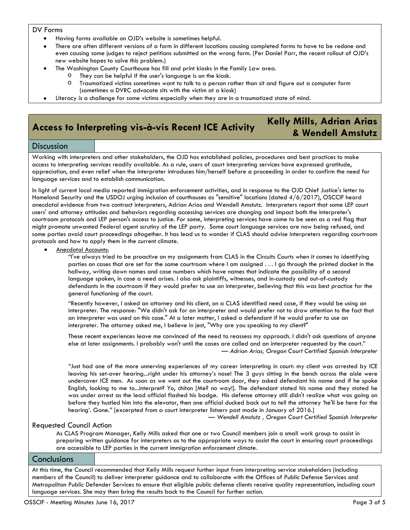#### DV Forms

- Having forms available on OJD's website is sometimes helpful.
- There are often different versions of a form in different locations causing completed forms to have to be redone and even causing some judges to reject petitions submitted on the wrong form. (Per Daniel Parr, the recent rollout of OJD's new website hopes to solve this problem.)
- The Washington County Courthouse has fill and print kiosks in the Family Law area.
	- o They can be helpful if the user's language is on the kiosk.
	- Traumatized victims sometimes want to talk to a person rather than sit and figure out a computer form (sometimes a DVRC advocate sits with the victim at a kiosk)
- Literacy is a challenge for some victims especially when they are in a traumatized state of mind.

## **Access to Interpreting vis-à-vis Recent ICE Activity Kelly Mills, Adrian Arias**

# **& Wendell Amstutz**

#### **Discussion**

Working with interpreters and other stakeholders, the OJD has established policies, procedures and best practices to make access to interpreting services readily available. As a rule, users of court interpreting services have expressed gratitude, appreciation, and even relief when the interpreter introduces him/herself before a proceeding in order to confirm the need for language services and to establish communication.

In light of current local media reported immigration enforcement activities, and in response to the OJD Chief Justice's letter to Homeland Security and the USDOJ urging inclusion of courthouses as "sensitive" locations (dated 4/6/2017), OSCCIF heard anecdotal evidence from two contract interpreters, Adrian Arias and Wendell Amstutz. Interpreters report that some LEP court users' and attorney attitudes and behaviors regarding accessing services are changing and impact both the interpreter's courtroom protocols and LEP person's access to justice. For some, interpreting services have come to be seen as a red flag that might promote unwanted Federal agent scrutiny of the LEP party. Some court language services are now being refused, and some parties avoid court proceedings altogether. It has lead us to wonder if CLAS should advise interpreters regarding courtroom protocols and how to apply them in the current climate.

• Anecdotal Accounts:

"I've always tried to be proactive on my assignments from CLAS in the Circuits Courts when it comes to identifying parties on cases that are set for the same courtroom where I am assigned . . . I go through the printed docket in the hallway, writing down names and case numbers which have names that indicate the possibility of a second language spoken, in case a need arises. I also ask plaintiffs, witnesses, and in-custody and out-of-custody defendants in the courtroom if they would prefer to use an interpreter, believing that this was best practice for the general functioning of the court.

"Recently however, I asked an attorney and his client, on a CLAS identified need case, if they would be using an interpreter. The response: "We didn't ask for an interpreter and would prefer not to draw attention to the fact that an interpreter was used on this case." At a later matter, I asked a defendant if he would prefer to use an interpreter. The attorney asked me, I believe in jest, "Why are you speaking to my client?"

These recent experiences leave me convinced of the need to reassess my approach. I didn't ask questions of anyone else at later assignments. I probably won't until the cases are called and an interpreter requested by the court." *— Adrian Arias, Oregon Court Certified Spanish Interpreter*

*"*Just had one of the more unnerving experiences of my career interpreting in court: my client was arrested by ICE leaving his set-over hearing...right under his attorney's nose! The 3 guys sitting in the bench across the aisle were undercover ICE men. As soon as we went out the courtroom door, they asked defendant his name and if he spoke English, looking to me to...interpret? Yo, chiton [Me? no way!]. The defendant stated his name and they stated he was under arrest as the lead official flashed his badge. His defense attorney still didn't realize what was going on before they hustled him into the elevator, then one official ducked back out to tell the attorney 'he'll be here for the hearing'. Gone.*"* [excerpted from a court interpreter listserv post made in January of 2016.]

— *Wendell Amstutz , Oregon Court Certified Spanish Interpreter*

#### Requested Council Action

As CLAS Program Manager, Kelly Mills asked that one or two Council members join a small work group to assist in preparing written guidance for interpreters as to the appropriate ways to assist the court in ensuring court proceedings are accessible to LEP parties in the current immigration enforcement climate.

#### **Conclusions**

At this time, the Council recommended that Kelly Mills request further input from interpreting service stakeholders (including members of the Council) to deliver interpreter guidance and to collaborate with the Offices of Public Defense Services and Metropolitan Public Defender Services to ensure that eligible public defense clients receive quality representation, including court language services. She may then bring the results back to the Council for further action.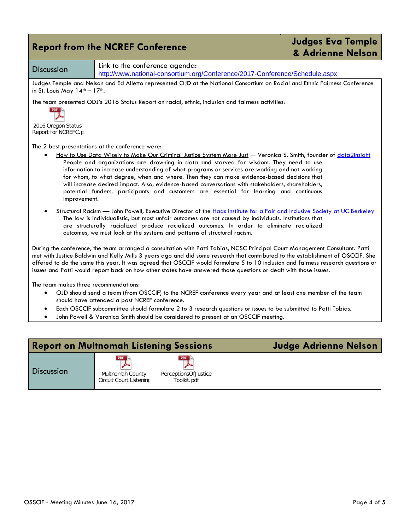|                                           | <b>Report from the NCREF Conference</b>                                                                                                                                                                                                                                                                                                                                                                                                                                                                                                                                                                                                                         | <b>Judges Eva Temple</b><br>& Adrienne Nelson |
|-------------------------------------------|-----------------------------------------------------------------------------------------------------------------------------------------------------------------------------------------------------------------------------------------------------------------------------------------------------------------------------------------------------------------------------------------------------------------------------------------------------------------------------------------------------------------------------------------------------------------------------------------------------------------------------------------------------------------|-----------------------------------------------|
| <b>Discussion</b>                         | Link to the conference agenda:<br>http://www.national-consortium.org/Conference/2017-Conference/Schedule.aspx                                                                                                                                                                                                                                                                                                                                                                                                                                                                                                                                                   |                                               |
| in St. Louis May $14^{th} - 17^{th}$ .    | Judges Temple and Nelson and Ed Alletto represented OJD at the National Consortium on Racial and Ethnic Fairness Conference                                                                                                                                                                                                                                                                                                                                                                                                                                                                                                                                     |                                               |
| 2016 Oregon Status<br>Report for NCREFC.p | The team presented ODJ's 2016 Status Report on racial, ethnic, inclusion and fairness activities:                                                                                                                                                                                                                                                                                                                                                                                                                                                                                                                                                               |                                               |
| improvement.                              | The 2 best presentations at the conference were:<br>How to Use Data Wisely to Make Our Criminal Justice System More Just - Veronica S. Smith, founder of data2insight<br>People and organizations are drowning in data and starved for wisdom. They need to use<br>information to increase understanding of what programs or services are working and not working<br>for whom, to what degree, when and where. Then they can make evidence-based decisions that<br>will increase desired impact. Also, evidence-based conversations with stakeholders, shareholders,<br>potential funders, participants and customers are essential for learning and continuous |                                               |
|                                           | Structural Racism - John Powell, Executive Director of the Haas Institute for a Fair and Inclusive Society at UC Berkeley<br>The law is individualistic, but most unfair outcomes are not caused by individuals. Institutions that<br>are structurally racialized produce racialized outcomes. In order to eliminate racialized<br>outcomes, we must look at the systems and patterns of structural racism.                                                                                                                                                                                                                                                     |                                               |
|                                           | During the conference, the team arranged a consultation with Patti Tobias, NCSC Principal Court Management Consultant. Patti<br>met with Justice Baldwin and Kelly Mills 3 years ago and did some research that contributed to the establishment of OSCCIF. She<br>offered to do the same this year. It was agreed that OSCCIF would formulate 5 to 10 inclusion and fairness research questions or<br>issues and Patti would report back on how other states have answered those questions or dealt with those issues.                                                                                                                                         |                                               |
| The team makes three recommendations:     | OJD should send a team (from OSCCIF) to the NCREF conference every year and at least one member of the team<br>should have attended a past NCREF conference.<br>Each OSCCIF subcommittee should formulate 2 to 3 research questions or issues to be submitted to Patti Tobias.<br>John Powell & Veronica Smith should be considered to present at an OSCCIF meeting.                                                                                                                                                                                                                                                                                            |                                               |

| <b>Report on Multnomah Listening Sessions</b> |                                                           | Judge Adrienne Nelson                      |  |
|-----------------------------------------------|-----------------------------------------------------------|--------------------------------------------|--|
| <b>Discussion</b>                             | <b>PDF</b><br>Multnomah County<br>Circuit Court Listeninc | PDF<br>PerceptionsOfJustice<br>Toolkit.pdf |  |